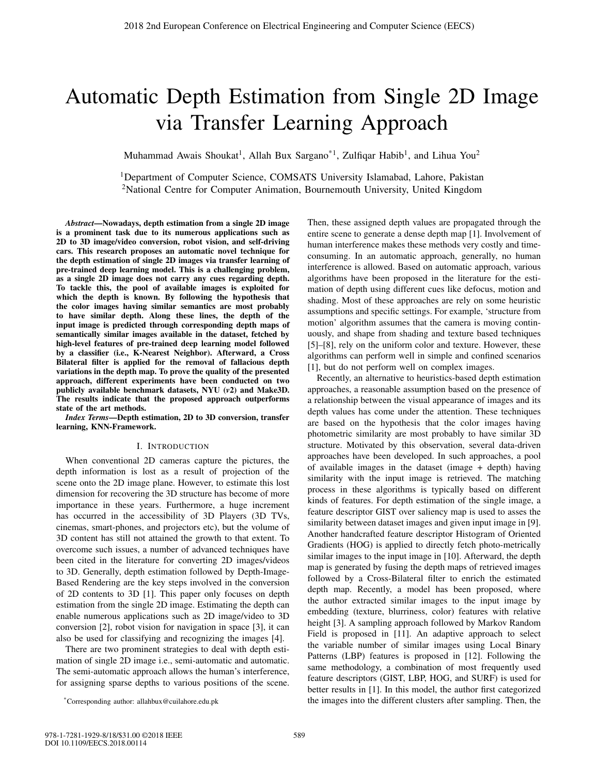# Automatic Depth Estimation from Single 2D Image via Transfer Learning Approach

Muhammad Awais Shoukat<sup>1</sup>, Allah Bux Sargano<sup>\*1</sup>, Zulfiqar Habib<sup>1</sup>, and Lihua You<sup>2</sup>

<sup>1</sup>Department of Computer Science, COMSATS University Islamabad, Lahore, Pakistan 2National Centre for Computer Animation, Bournemouth University, United Kingdom

*Abstract*—Nowadays, depth estimation from a single 2D image is a prominent task due to its numerous applications such as 2D to 3D image/video conversion, robot vision, and self-driving cars. This research proposes an automatic novel technique for the depth estimation of single 2D images via transfer learning of pre-trained deep learning model. This is a challenging problem, as a single 2D image does not carry any cues regarding depth. To tackle this, the pool of available images is exploited for which the depth is known. By following the hypothesis that the color images having similar semantics are most probably to have similar depth. Along these lines, the depth of the input image is predicted through corresponding depth maps of semantically similar images available in the dataset, fetched by high-level features of pre-trained deep learning model followed by a classifier (i.e., K-Nearest Neighbor). Afterward, a Cross Bilateral filter is applied for the removal of fallacious depth variations in the depth map. To prove the quality of the presented approach, different experiments have been conducted on two publicly available benchmark datasets, NYU (*v*2) and Make3D. The results indicate that the proposed approach outperforms state of the art methods.

*Index Terms*—Depth estimation, 2D to 3D conversion, transfer learning, KNN-Framework.

## I. INTRODUCTION

When conventional 2D cameras capture the pictures, the depth information is lost as a result of projection of the scene onto the 2D image plane. However, to estimate this lost dimension for recovering the 3D structure has become of more importance in these years. Furthermore, a huge increment has occurred in the accessibility of 3D Players (3D TVs, cinemas, smart-phones, and projectors etc), but the volume of 3D content has still not attained the growth to that extent. To overcome such issues, a number of advanced techniques have been cited in the literature for converting 2D images/videos to 3D. Generally, depth estimation followed by Depth-Image-Based Rendering are the key steps involved in the conversion of 2D contents to 3D [1]. This paper only focuses on depth estimation from the single 2D image. Estimating the depth can enable numerous applications such as 2D image/video to 3D conversion [2], robot vision for navigation in space [3], it can also be used for classifying and recognizing the images [4].

There are two prominent strategies to deal with depth estimation of single 2D image i.e., semi-automatic and automatic. The semi-automatic approach allows the human's interference, for assigning sparse depths to various positions of the scene.

Then, these assigned depth values are propagated through the entire scene to generate a dense depth map [1]. Involvement of human interference makes these methods very costly and timeconsuming. In an automatic approach, generally, no human interference is allowed. Based on automatic approach, various algorithms have been proposed in the literature for the estimation of depth using different cues like defocus, motion and shading. Most of these approaches are rely on some heuristic assumptions and specific settings. For example, 'structure from motion' algorithm assumes that the camera is moving continuously, and shape from shading and texture based techniques [5]–[8], rely on the uniform color and texture. However, these algorithms can perform well in simple and confined scenarios [1], but do not perform well on complex images.

Recently, an alternative to heuristics-based depth estimation approaches, a reasonable assumption based on the presence of a relationship between the visual appearance of images and its depth values has come under the attention. These techniques are based on the hypothesis that the color images having photometric similarity are most probably to have similar 3D structure. Motivated by this observation, several data-driven approaches have been developed. In such approaches, a pool of available images in the dataset (image + depth) having similarity with the input image is retrieved. The matching process in these algorithms is typically based on different kinds of features. For depth estimation of the single image, a feature descriptor GIST over saliency map is used to asses the similarity between dataset images and given input image in [9]. Another handcrafted feature descriptor Histogram of Oriented Gradients (HOG) is applied to directly fetch photo-metrically similar images to the input image in [10]. Afterward, the depth map is generated by fusing the depth maps of retrieved images followed by a Cross-Bilateral filter to enrich the estimated depth map. Recently, a model has been proposed, where the author extracted similar images to the input image by embedding (texture, blurriness, color) features with relative height [3]. A sampling approach followed by Markov Random Field is proposed in [11]. An adaptive approach to select the variable number of similar images using Local Binary Patterns (LBP) features is proposed in [12]. Following the same methodology, a combination of most frequently used feature descriptors (GIST, LBP, HOG, and SURF) is used for better results in [1]. In this model, the author first categorized the images into the different clusters after sampling. Then, the

<sup>\*</sup>Corresponding author: allahbux@cuilahore.edu.pk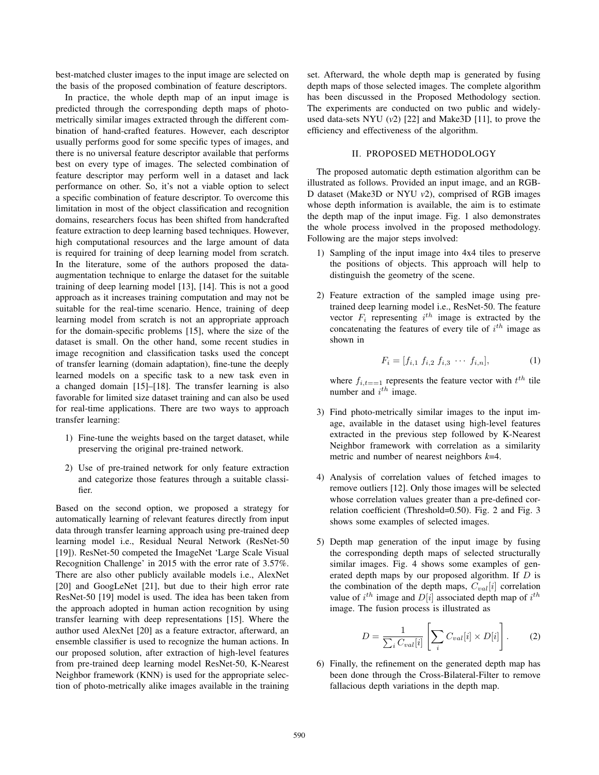best-matched cluster images to the input image are selected on the basis of the proposed combination of feature descriptors.

In practice, the whole depth map of an input image is predicted through the corresponding depth maps of photometrically similar images extracted through the different combination of hand-crafted features. However, each descriptor usually performs good for some specific types of images, and there is no universal feature descriptor available that performs best on every type of images. The selected combination of feature descriptor may perform well in a dataset and lack performance on other. So, it's not a viable option to select a specific combination of feature descriptor. To overcome this limitation in most of the object classification and recognition domains, researchers focus has been shifted from handcrafted feature extraction to deep learning based techniques. However, high computational resources and the large amount of data is required for training of deep learning model from scratch. In the literature, some of the authors proposed the dataaugmentation technique to enlarge the dataset for the suitable training of deep learning model [13], [14]. This is not a good approach as it increases training computation and may not be suitable for the real-time scenario. Hence, training of deep learning model from scratch is not an appropriate approach for the domain-specific problems [15], where the size of the dataset is small. On the other hand, some recent studies in image recognition and classification tasks used the concept of transfer learning (domain adaptation), fine-tune the deeply learned models on a specific task to a new task even in a changed domain [15]–[18]. The transfer learning is also favorable for limited size dataset training and can also be used for real-time applications. There are two ways to approach transfer learning:

- 1) Fine-tune the weights based on the target dataset, while preserving the original pre-trained network.
- 2) Use of pre-trained network for only feature extraction and categorize those features through a suitable classifier.

Based on the second option, we proposed a strategy for automatically learning of relevant features directly from input data through transfer learning approach using pre-trained deep learning model i.e., Residual Neural Network (ResNet-50 [19]). ResNet-50 competed the ImageNet 'Large Scale Visual Recognition Challenge' in 2015 with the error rate of 3.57%. There are also other publicly available models i.e., AlexNet [20] and GoogLeNet [21], but due to their high error rate ResNet-50 [19] model is used. The idea has been taken from the approach adopted in human action recognition by using transfer learning with deep representations [15]. Where the author used AlexNet [20] as a feature extractor, afterward, an ensemble classifier is used to recognize the human actions. In our proposed solution, after extraction of high-level features from pre-trained deep learning model ResNet-50, K-Nearest Neighbor framework (KNN) is used for the appropriate selection of photo-metrically alike images available in the training set. Afterward, the whole depth map is generated by fusing depth maps of those selected images. The complete algorithm has been discussed in the Proposed Methodology section. The experiments are conducted on two public and widelyused data-sets NYU (*v*2) [22] and Make3D [11], to prove the efficiency and effectiveness of the algorithm.

## II. PROPOSED METHODOLOGY

The proposed automatic depth estimation algorithm can be illustrated as follows. Provided an input image, and an RGB-D dataset (Make3D or NYU *v*2), comprised of RGB images whose depth information is available, the aim is to estimate the depth map of the input image. Fig. 1 also demonstrates the whole process involved in the proposed methodology. Following are the major steps involved:

- 1) Sampling of the input image into 4x4 tiles to preserve the positions of objects. This approach will help to distinguish the geometry of the scene.
- 2) Feature extraction of the sampled image using pretrained deep learning model i.e., ResNet-50. The feature vector  $F_i$  representing  $i^{th}$  image is extracted by the concatenating the features of every tile of  $i^{th}$  image as concatenating the features of every tile of  $i^{th}$  image as shown in shown in

$$
F_i = [f_{i,1} \ f_{i,2} \ f_{i,3} \ \cdots \ f_{i,n}], \tag{1}
$$

where  $f_{i,t=-1}$  represents the feature vector with  $t^{th}$  tile<br>number and  $i^{th}$  image number and  $i^{th}$  image.

- 3) Find photo-metrically similar images to the input image, available in the dataset using high-level features extracted in the previous step followed by K-Nearest Neighbor framework with correlation as a similarity metric and number of nearest neighbors *k*=4.
- 4) Analysis of correlation values of fetched images to remove outliers [12]. Only those images will be selected whose correlation values greater than a pre-defined correlation coefficient (Threshold=0.50). Fig. 2 and Fig. 3 shows some examples of selected images.
- 5) Depth map generation of the input image by fusing the corresponding depth maps of selected structurally similar images. Fig. 4 shows some examples of generated depth maps by our proposed algorithm. If D is the combination of the depth maps,  $C_{val}[i]$  correlation value of  $i^{th}$  image and  $D[i]$  associated depth map of  $i^{th}$ <br>*image*. The fusion process is illustrated as image. The fusion process is illustrated as

$$
D = \frac{1}{\sum_{i} C_{val}[i]} \left[ \sum_{i} C_{val}[i] \times D[i] \right].
$$
 (2)

6) Finally, the refinement on the generated depth map has been done through the Cross-Bilateral-Filter to remove fallacious depth variations in the depth map.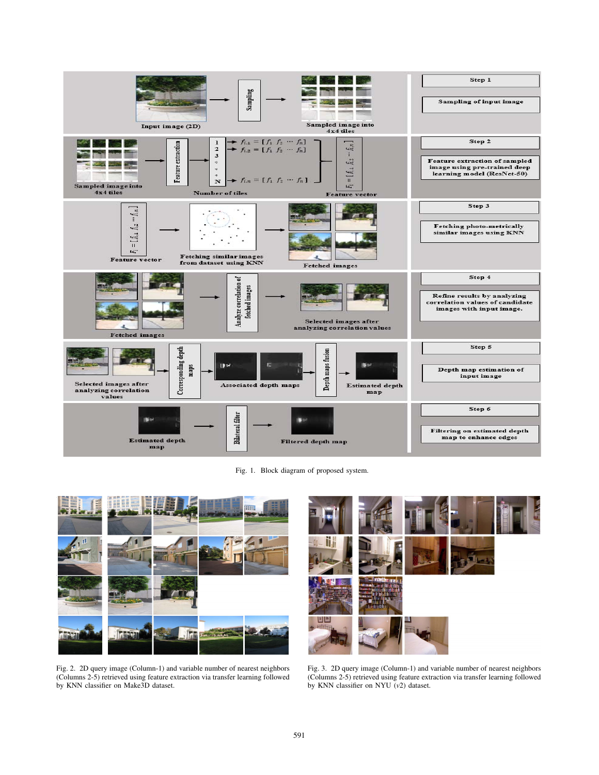

Fig. 1. Block diagram of proposed system.



Fig. 2. 2D query image (Column-1) and variable number of nearest neighbors (Columns 2-5) retrieved using feature extraction via transfer learning followed by KNN classifier on Make3D dataset.



Fig. 3. 2D query image (Column-1) and variable number of nearest neighbors (Columns 2-5) retrieved using feature extraction via transfer learning followed by KNN classifier on NYU (*v*2) dataset.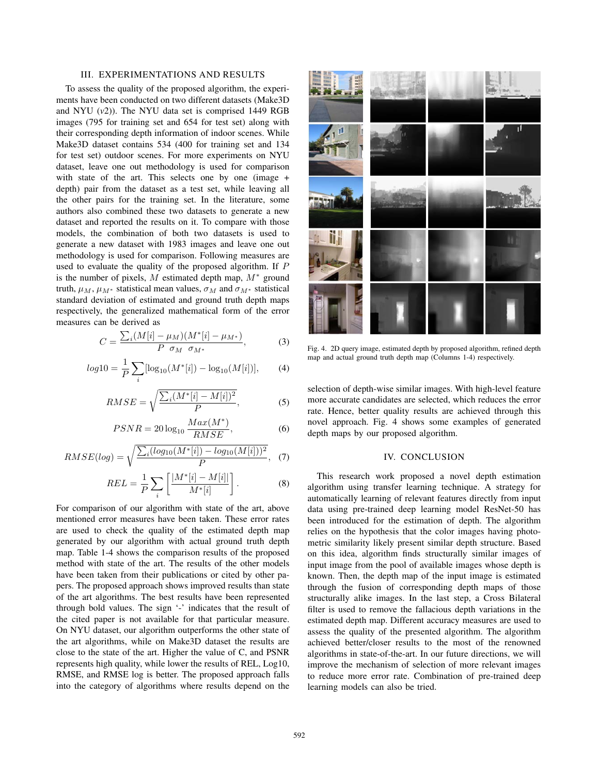# III. EXPERIMENTATIONS AND RESULTS

To assess the quality of the proposed algorithm, the experiments have been conducted on two different datasets (Make3D and NYU (*v*2)). The NYU data set is comprised 1449 RGB images (795 for training set and 654 for test set) along with their corresponding depth information of indoor scenes. While Make3D dataset contains 534 (400 for training set and 134 for test set) outdoor scenes. For more experiments on NYU dataset, leave one out methodology is used for comparison with state of the art. This selects one by one (image + depth) pair from the dataset as a test set, while leaving all the other pairs for the training set. In the literature, some authors also combined these two datasets to generate a new dataset and reported the results on it. To compare with those models, the combination of both two datasets is used to generate a new dataset with 1983 images and leave one out methodology is used for comparison. Following measures are used to evaluate the quality of the proposed algorithm. If P is the number of pixels, M estimated depth map,  $M^*$  ground truth,  $\mu_M$ ,  $\mu_{M^*}$  statistical mean values,  $\sigma_M$  and  $\sigma_{M^*}$  statistical standard deviation of estimated and ground truth depth maps respectively, the generalized mathematical form of the error measures can be derived as

$$
C = \frac{\sum_{i} (M[i] - \mu_M)(M^*[i] - \mu_{M^*})}{P \sigma_M \sigma_{M^*}},
$$
(3)

$$
log10 = \frac{1}{P} \sum_{i} [log_{10}(M^*[i]) - log_{10}(M[i])], \tag{4}
$$

$$
RMSE = \sqrt{\frac{\sum_{i} (M^*[i] - M[i])^2}{P}},\tag{5}
$$

$$
PSNR = 20\log_{10}\frac{Max(M^*)}{RMSE},\tag{6}
$$

$$
RMSE(log) = \sqrt{\frac{\sum_{i} (log_{10}(M^*[i]) - log_{10}(M[i]))^2}{P}}, \quad (7)
$$

$$
REL = \frac{1}{P} \sum_{i} \left[ \frac{|M^*[i] - M[i]|}{M^*[i]} \right]. \tag{8}
$$

For comparison of our algorithm with state of the art, above mentioned error measures have been taken. These error rates are used to check the quality of the estimated depth map generated by our algorithm with actual ground truth depth map. Table 1-4 shows the comparison results of the proposed method with state of the art. The results of the other models have been taken from their publications or cited by other papers. The proposed approach shows improved results than state of the art algorithms. The best results have been represented through bold values. The sign '-' indicates that the result of the cited paper is not available for that particular measure. On NYU dataset, our algorithm outperforms the other state of the art algorithms, while on Make3D dataset the results are close to the state of the art. Higher the value of C, and PSNR represents high quality, while lower the results of REL, Log10, RMSE, and RMSE log is better. The proposed approach falls into the category of algorithms where results depend on the



Fig. 4. 2D query image, estimated depth by proposed algorithm, refined depth map and actual ground truth depth map (Columns 1-4) respectively.

selection of depth-wise similar images. With high-level feature more accurate candidates are selected, which reduces the error rate. Hence, better quality results are achieved through this novel approach. Fig. 4 shows some examples of generated depth maps by our proposed algorithm.

# IV. CONCLUSION

This research work proposed a novel depth estimation algorithm using transfer learning technique. A strategy for automatically learning of relevant features directly from input data using pre-trained deep learning model ResNet-50 has been introduced for the estimation of depth. The algorithm relies on the hypothesis that the color images having photometric similarity likely present similar depth structure. Based on this idea, algorithm finds structurally similar images of input image from the pool of available images whose depth is known. Then, the depth map of the input image is estimated through the fusion of corresponding depth maps of those structurally alike images. In the last step, a Cross Bilateral filter is used to remove the fallacious depth variations in the estimated depth map. Different accuracy measures are used to assess the quality of the presented algorithm. The algorithm achieved better/closer results to the most of the renowned algorithms in state-of-the-art. In our future directions, we will improve the mechanism of selection of more relevant images to reduce more error rate. Combination of pre-trained deep learning models can also be tried.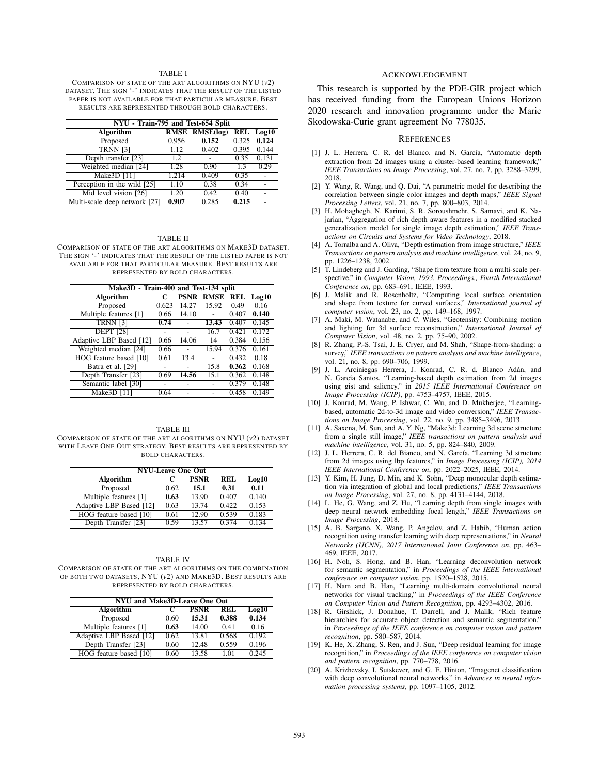## TABLE I

COMPARISON OF STATE OF THE ART ALGORITHMS ON NYU (*v*2) DATASET. THE SIGN '-' INDICATES THAT THE RESULT OF THE LISTED PAPER IS NOT AVAILABLE FOR THAT PARTICULAR MEASURE. BEST RESULTS ARE REPRESENTED THROUGH BOLD CHARACTERS.

| NYU - Train-795 and Test-654 Split |       |                       |       |           |  |
|------------------------------------|-------|-----------------------|-------|-----------|--|
| Algorithm                          |       | <b>RMSE RMSE(log)</b> |       | REL Log10 |  |
| Proposed                           | 0.956 | 0.152                 | 0.325 | 0.124     |  |
| <b>TRNN [3]</b>                    | 1.12  | 0.402                 | 0.395 | 0.144     |  |
| Depth transfer [23]                | 1.2   |                       | 0.35  | 0.131     |  |
| Weighted median [24]               | 1.28  | 0.90                  | 1.3   | 0.29      |  |
| Make3D [11]                        | 1.214 | 0.409                 | 0.35  |           |  |
| Perception in the wild [25]        | 1.10  | 0.38                  | 0.34  |           |  |
| Mid level vision [26]              | 1.20  | 0.42                  | 0.40  |           |  |
| Multi-scale deep network [27]      | 0.907 | 0.285                 | 0.215 |           |  |

#### TABLE II

COMPARISON OF STATE OF THE ART ALGORITHMS ON MAKE3D DATASET. THE SIGN '-' INDICATES THAT THE RESULT OF THE LISTED PAPER IS NOT AVAILABLE FOR THAT PARTICULAR MEASURE. BEST RESULTS ARE REPRESENTED BY BOLD CHARACTERS.

| Make3D - Train-400 and Test-134 split |       |             |             |       |       |
|---------------------------------------|-------|-------------|-------------|-------|-------|
| Algorithm                             | C     | <b>PSNR</b> | <b>RMSE</b> | REL   | Log10 |
| Proposed                              | 0.623 | 14.27       | 15.92       | 0.49  | 0.16  |
| Multiple features [1]                 | 0.66  | 14.10       |             | 0.407 | 0.140 |
| <b>TRNN [3]</b>                       | 0.74  |             | 13.43       | 0.407 | 0.145 |
| <b>DEPT</b> [28]                      |       |             | 16.7        | 0.421 | 0.172 |
| Adaptive LBP Based [12]               | 0.66  | 14.06       | 14          | 0.384 | 0.156 |
| Weighted median [24]                  | 0.66  |             | 15.94       | 0.376 | 0.161 |
| HOG feature based [10]                | 0.61  | 13.4        |             | 0.432 | 0.18  |
| Batra et al. [29]                     |       |             | 15.8        | 0.362 | 0.168 |
| Depth Transfer [23]                   | 0.69  | 14.56       | 15.1        | 0.362 | 0.148 |
| Semantic label [30]                   |       |             |             | 0.379 | 0.148 |
| Make3D [11]                           | 0.64  |             |             | 0.458 | 0.149 |

# TABLE III COMPARISON OF STATE OF THE ART ALGORITHMS ON NYU (*v*2) DATASET

WITH LEAVE ONE OUT STRATEGY. BEST RESULTS ARE REPRESENTED BY BOLD CHARACTERS.

| <b>NYU-Leave One Out</b> |      |             |            |       |  |
|--------------------------|------|-------------|------------|-------|--|
| Algorithm                |      | <b>PSNR</b> | <b>REL</b> | Log10 |  |
| Proposed                 | 0.62 | 15.1        | 0.31       | 0.11  |  |
| Multiple features [1]    | 0.63 | 13.90       | 0.407      | 0.140 |  |
| Adaptive LBP Based [12]  | 0.63 | 13.74       | 0.422      | 0.153 |  |
| HOG feature based [10]   | 0.61 | 12.90       | 0.539      | 0.183 |  |
| Depth Transfer [23]      | 0.59 | 13.57       | 0.374      | 0.134 |  |

### TABLE IV

COMPARISON OF STATE OF THE ART ALGORITHMS ON THE COMBINATION OF BOTH TWO DATASETS, NYU (*v*2) AND MAKE3D. BEST RESULTS ARE REPRESENTED BY BOLD CHARACTERS.

| NYU and Make3D-Leave One Out |      |             |       |       |  |
|------------------------------|------|-------------|-------|-------|--|
| Algorithm                    |      | <b>PSNR</b> | REL   | Log10 |  |
| Proposed                     | 0.60 | 15.31       | 0.388 | 0.134 |  |
| Multiple features [1]        | 0.63 | 14.00       | 0.41  | 0.16  |  |
| Adaptive LBP Based [12]      | 0.62 | 13.81       | 0.568 | 0.192 |  |
| Depth Transfer [23]          | 0.60 | 12.48       | 0.559 | 0.196 |  |
| HOG feature based [10]       | 0.60 | 13.58       | 1 01  | 0.245 |  |

## ACKNOWLEDGEMENT

This research is supported by the PDE-GIR project which has received funding from the European Unions Horizon 2020 research and innovation programme under the Marie Skodowska-Curie grant agreement No 778035.

## **REFERENCES**

- [1] J. L. Herrera, C. R. del Blanco, and N. García, "Automatic depth extraction from 2d images using a cluster-based learning framework," *IEEE Transactions on Image Processing*, vol. 27, no. 7, pp. 3288–3299, 2018.
- [2] Y. Wang, R. Wang, and Q. Dai, "A parametric model for describing the correlation between single color images and depth maps," *IEEE Signal Processing Letters*, vol. 21, no. 7, pp. 800–803, 2014.
- [3] H. Mohaghegh, N. Karimi, S. R. Soroushmehr, S. Samavi, and K. Najarian, "Aggregation of rich depth aware features in a modified stacked generalization model for single image depth estimation," *IEEE Transactions on Circuits and Systems for Video Technology*, 2018.
- [4] A. Torralba and A. Oliva, "Depth estimation from image structure," *IEEE Transactions on pattern analysis and machine intelligence*, vol. 24, no. 9, pp. 1226–1238, 2002.
- [5] T. Lindeberg and J. Garding, "Shape from texture from a multi-scale perspective," in *Computer Vision, 1993. Proceedings., Fourth International Conference on*, pp. 683–691, IEEE, 1993.
- [6] J. Malik and R. Rosenholtz, "Computing local surface orientation and shape from texture for curved surfaces," *International journal of computer vision*, vol. 23, no. 2, pp. 149–168, 1997.
- [7] A. Maki, M. Watanabe, and C. Wiles, "Geotensity: Combining motion and lighting for 3d surface reconstruction," *International Journal of Computer Vision*, vol. 48, no. 2, pp. 75–90, 2002.
- [8] R. Zhang, P.-S. Tsai, J. E. Cryer, and M. Shah, "Shape-from-shading: a survey," *IEEE transactions on pattern analysis and machine intelligence*, vol. 21, no. 8, pp. 690–706, 1999.
- [9] J. L. Arciniegas Herrera, J. Konrad, C. R. d. Blanco Adán, and N. García Santos, "Learning-based depth estimation from 2d images using gist and saliency," in *2015 IEEE International Conference on Image Processing (ICIP)*, pp. 4753–4757, IEEE, 2015.
- [10] J. Konrad, M. Wang, P. Ishwar, C. Wu, and D. Mukherjee, "Learningbased, automatic 2d-to-3d image and video conversion," *IEEE Transactions on Image Processing*, vol. 22, no. 9, pp. 3485–3496, 2013.
- [11] A. Saxena, M. Sun, and A. Y. Ng, "Make3d: Learning 3d scene structure from a single still image," *IEEE transactions on pattern analysis and machine intelligence*, vol. 31, no. 5, pp. 824–840, 2009.
- [12] J. L. Herrera, C. R. del Bianco, and N. García, "Learning 3d structure from 2d images using lbp features," in *Image Processing (ICIP), 2014 IEEE International Conference on*, pp. 2022–2025, IEEE, 2014.
- [13] Y. Kim, H. Jung, D. Min, and K. Sohn, "Deep monocular depth estimation via integration of global and local predictions," *IEEE Transactions on Image Processing*, vol. 27, no. 8, pp. 4131–4144, 2018.
- [14] L. He, G. Wang, and Z. Hu, "Learning depth from single images with deep neural network embedding focal length," *IEEE Transactions on Image Processing*, 2018.
- [15] A. B. Sargano, X. Wang, P. Angelov, and Z. Habib, "Human action recognition using transfer learning with deep representations," in *Neural Networks (IJCNN), 2017 International Joint Conference on*, pp. 463– 469, IEEE, 2017.
- [16] H. Noh, S. Hong, and B. Han, "Learning deconvolution network for semantic segmentation," in *Proceedings of the IEEE international conference on computer vision*, pp. 1520–1528, 2015.
- [17] H. Nam and B. Han, "Learning multi-domain convolutional neural networks for visual tracking," in *Proceedings of the IEEE Conference on Computer Vision and Pattern Recognition*, pp. 4293–4302, 2016.
- [18] R. Girshick, J. Donahue, T. Darrell, and J. Malik, "Rich feature hierarchies for accurate object detection and semantic segmentation," in *Proceedings of the IEEE conference on computer vision and pattern recognition*, pp. 580–587, 2014.
- [19] K. He, X. Zhang, S. Ren, and J. Sun, "Deep residual learning for image recognition," in *Proceedings of the IEEE conference on computer vision and pattern recognition*, pp. 770–778, 2016.
- [20] A. Krizhevsky, I. Sutskever, and G. E. Hinton, "Imagenet classification with deep convolutional neural networks," in *Advances in neural information processing systems*, pp. 1097–1105, 2012.